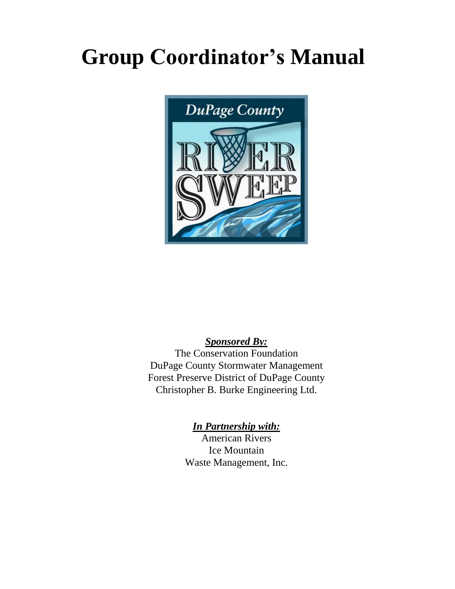## **Group Coordinator's Manual**



## *Sponsored By:*

The Conservation Foundation DuPage County Stormwater Management Forest Preserve District of DuPage County Christopher B. Burke Engineering Ltd.

## *In Partnership with:*

American Rivers Ice Mountain Waste Management, Inc.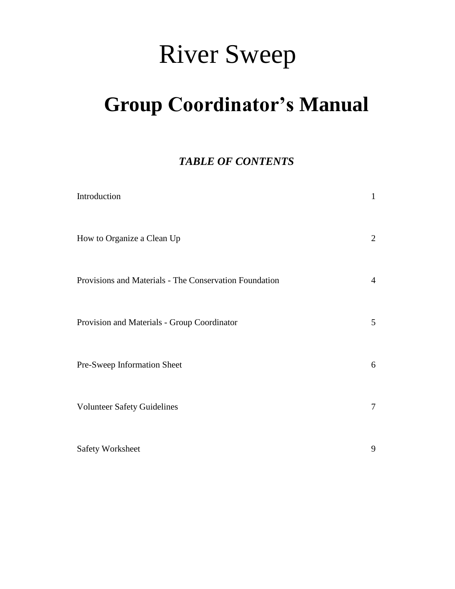# River Sweep

## **Group Coordinator's Manual**

## *TABLE OF CONTENTS*

| Introduction                                           | $\mathbf{1}$    |
|--------------------------------------------------------|-----------------|
| How to Organize a Clean Up                             | $\overline{2}$  |
| Provisions and Materials - The Conservation Foundation | $\overline{4}$  |
| Provision and Materials - Group Coordinator            | $5\overline{)}$ |
| Pre-Sweep Information Sheet                            | 6               |
| <b>Volunteer Safety Guidelines</b>                     | $\tau$          |
| <b>Safety Worksheet</b>                                | 9               |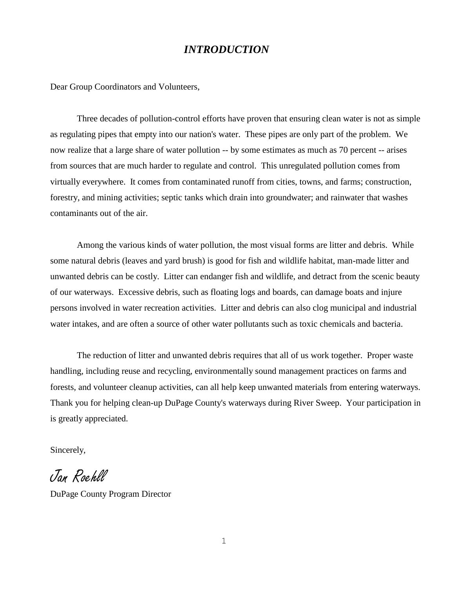## *INTRODUCTION*

Dear Group Coordinators and Volunteers,

Three decades of pollution-control efforts have proven that ensuring clean water is not as simple as regulating pipes that empty into our nation's water. These pipes are only part of the problem. We now realize that a large share of water pollution -- by some estimates as much as 70 percent -- arises from sources that are much harder to regulate and control. This unregulated pollution comes from virtually everywhere. It comes from contaminated runoff from cities, towns, and farms; construction, forestry, and mining activities; septic tanks which drain into groundwater; and rainwater that washes contaminants out of the air.

Among the various kinds of water pollution, the most visual forms are litter and debris. While some natural debris (leaves and yard brush) is good for fish and wildlife habitat, man-made litter and unwanted debris can be costly. Litter can endanger fish and wildlife, and detract from the scenic beauty of our waterways. Excessive debris, such as floating logs and boards, can damage boats and injure persons involved in water recreation activities. Litter and debris can also clog municipal and industrial water intakes, and are often a source of other water pollutants such as toxic chemicals and bacteria.

The reduction of litter and unwanted debris requires that all of us work together. Proper waste handling, including reuse and recycling, environmentally sound management practices on farms and forests, and volunteer cleanup activities, can all help keep unwanted materials from entering waterways. Thank you for helping clean-up DuPage County's waterways during River Sweep. Your participation in is greatly appreciated.

Sincerely,

Jan Roehll

DuPage County Program Director

1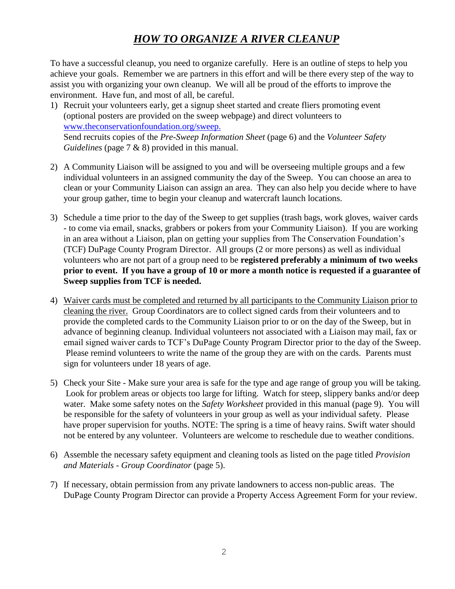## *HOW TO ORGANIZE A RIVER CLEANUP*

To have a successful cleanup, you need to organize carefully. Here is an outline of steps to help you achieve your goals. Remember we are partners in this effort and will be there every step of the way to assist you with organizing your own cleanup. We will all be proud of the efforts to improve the environment. Have fun, and most of all, be careful.

- 1) Recruit your volunteers early, get a signup sheet started and create fliers promoting event (optional posters are provided on the sweep webpage) and direct volunteers to [www.theconservationfoundation.org/sweep.](http://theconservationfoundation.org/page.php?PageID=10) Send recruits copies of the *Pre-Sweep Information Sheet* (page 6) and the *Volunteer Safety Guidelines* (page 7 & 8) provided in this manual.
- 2) A Community Liaison will be assigned to you and will be overseeing multiple groups and a few individual volunteers in an assigned community the day of the Sweep. You can choose an area to clean or your Community Liaison can assign an area. They can also help you decide where to have your group gather, time to begin your cleanup and watercraft launch locations.
- 3) Schedule a time prior to the day of the Sweep to get supplies (trash bags, work gloves, waiver cards - to come via email, snacks, grabbers or pokers from your Community Liaison). If you are working in an area without a Liaison, plan on getting your supplies from The Conservation Foundation's (TCF) DuPage County Program Director. All groups (2 or more persons) as well as individual volunteers who are not part of a group need to be **registered preferably a minimum of two weeks prior to event. If you have a group of 10 or more a month notice is requested if a guarantee of Sweep supplies from TCF is needed.**
- 4) Waiver cards must be completed and returned by all participants to the Community Liaison prior to cleaning the river. Group Coordinators are to collect signed cards from their volunteers and to provide the completed cards to the Community Liaison prior to or on the day of the Sweep, but in advance of beginning cleanup. Individual volunteers not associated with a Liaison may mail, fax or email signed waiver cards to TCF's DuPage County Program Director prior to the day of the Sweep. Please remind volunteers to write the name of the group they are with on the cards. Parents must sign for volunteers under 18 years of age.
- 5) Check your Site Make sure your area is safe for the type and age range of group you will be taking. Look for problem areas or objects too large for lifting. Watch for steep, slippery banks and/or deep water. Make some safety notes on the *Safety Worksheet* provided in this manual (page 9). You will be responsible for the safety of volunteers in your group as well as your individual safety. Please have proper supervision for youths. NOTE: The spring is a time of heavy rains. Swift water should not be entered by any volunteer. Volunteers are welcome to reschedule due to weather conditions.
- 6) Assemble the necessary safety equipment and cleaning tools as listed on the page titled *Provision and Materials - Group Coordinator* (page 5).
- 7) If necessary, obtain permission from any private landowners to access non-public areas. The DuPage County Program Director can provide a Property Access Agreement Form for your review.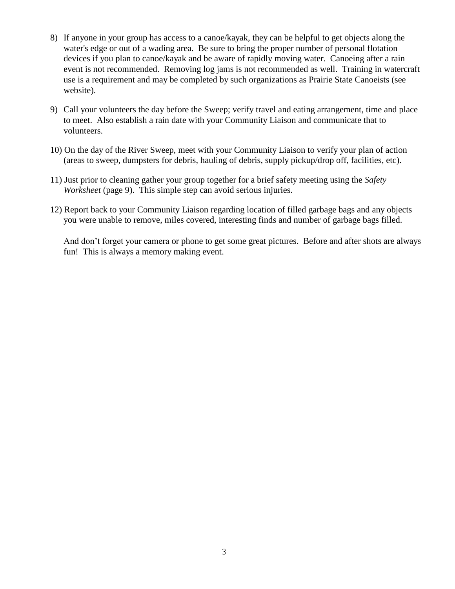- 8) If anyone in your group has access to a canoe/kayak, they can be helpful to get objects along the water's edge or out of a wading area. Be sure to bring the proper number of personal flotation devices if you plan to canoe/kayak and be aware of rapidly moving water. Canoeing after a rain event is not recommended. Removing log jams is not recommended as well. Training in watercraft use is a requirement and may be completed by such organizations as Prairie State Canoeists (see website).
- 9) Call your volunteers the day before the Sweep; verify travel and eating arrangement, time and place to meet. Also establish a rain date with your Community Liaison and communicate that to volunteers.
- 10) On the day of the River Sweep, meet with your Community Liaison to verify your plan of action (areas to sweep, dumpsters for debris, hauling of debris, supply pickup/drop off, facilities, etc).
- 11) Just prior to cleaning gather your group together for a brief safety meeting using the *Safety Worksheet* (page 9). This simple step can avoid serious injuries.
- 12) Report back to your Community Liaison regarding location of filled garbage bags and any objects you were unable to remove, miles covered, interesting finds and number of garbage bags filled.

And don't forget your camera or phone to get some great pictures. Before and after shots are always fun! This is always a memory making event.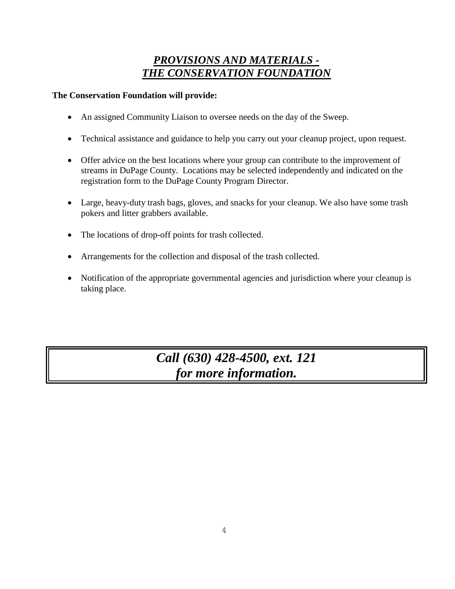## *PROVISIONS AND MATERIALS - THE CONSERVATION FOUNDATION*

## **The Conservation Foundation will provide:**

- An assigned Community Liaison to oversee needs on the day of the Sweep.
- Technical assistance and guidance to help you carry out your cleanup project, upon request.
- Offer advice on the best locations where your group can contribute to the improvement of streams in DuPage County. Locations may be selected independently and indicated on the registration form to the DuPage County Program Director.
- Large, heavy-duty trash bags, gloves, and snacks for your cleanup. We also have some trash pokers and litter grabbers available.
- The locations of drop-off points for trash collected.
- Arrangements for the collection and disposal of the trash collected.
- Notification of the appropriate governmental agencies and jurisdiction where your cleanup is taking place.

*Call (630) 428-4500, ext. 121 for more information.*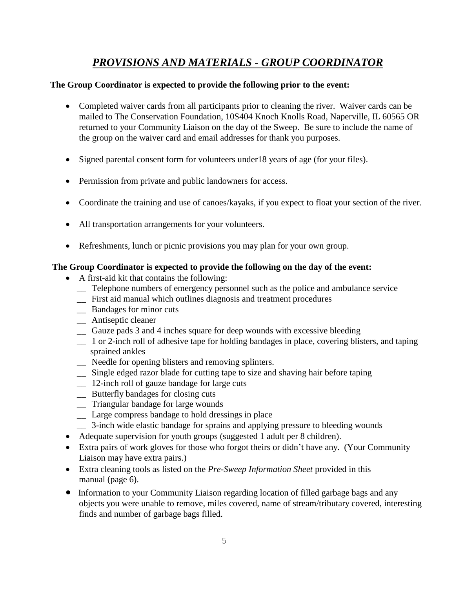## *PROVISIONS AND MATERIALS - GROUP COORDINATOR*

#### **The Group Coordinator is expected to provide the following prior to the event:**

- Completed waiver cards from all participants prior to cleaning the river. Waiver cards can be mailed to The Conservation Foundation, 10S404 Knoch Knolls Road, Naperville, IL 60565 OR returned to your Community Liaison on the day of the Sweep. Be sure to include the name of the group on the waiver card and email addresses for thank you purposes.
- Signed parental consent form for volunteers under18 years of age (for your files).
- Permission from private and public landowners for access.
- Coordinate the training and use of canoes/kayaks, if you expect to float your section of the river.
- All transportation arrangements for your volunteers.
- Refreshments, lunch or picnic provisions you may plan for your own group.

#### **The Group Coordinator is expected to provide the following on the day of the event:**

- A first-aid kit that contains the following:
	- \_\_ Telephone numbers of emergency personnel such as the police and ambulance service
	- \_\_ First aid manual which outlines diagnosis and treatment procedures
	- \_\_ Bandages for minor cuts
	- \_\_ Antiseptic cleaner
	- \_\_ Gauze pads 3 and 4 inches square for deep wounds with excessive bleeding
	- \_\_ 1 or 2-inch roll of adhesive tape for holding bandages in place, covering blisters, and taping sprained ankles
	- \_\_ Needle for opening blisters and removing splinters.
	- \_\_ Single edged razor blade for cutting tape to size and shaving hair before taping
	- \_\_ 12-inch roll of gauze bandage for large cuts
	- \_\_ Butterfly bandages for closing cuts
	- \_\_ Triangular bandage for large wounds
	- \_\_ Large compress bandage to hold dressings in place
	- \_\_ 3-inch wide elastic bandage for sprains and applying pressure to bleeding wounds
- Adequate supervision for youth groups (suggested 1 adult per 8 children).
- Extra pairs of work gloves for those who forgot theirs or didn't have any. (Your Community Liaison may have extra pairs.)
- Extra cleaning tools as listed on the *Pre-Sweep Information Sheet* provided in this manual (page 6).
- Information to your Community Liaison regarding location of filled garbage bags and any objects you were unable to remove, miles covered, name of stream/tributary covered, interesting finds and number of garbage bags filled.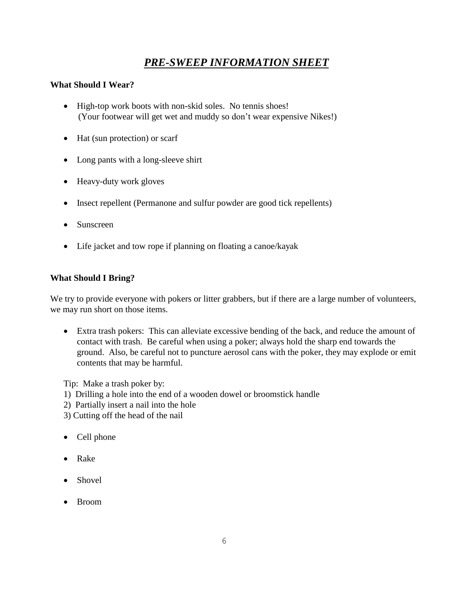## *PRE-SWEEP INFORMATION SHEET*

#### **What Should I Wear?**

- High-top work boots with non-skid soles. No tennis shoes! (Your footwear will get wet and muddy so don't wear expensive Nikes!)
- Hat (sun protection) or scarf
- Long pants with a long-sleeve shirt
- Heavy-duty work gloves
- Insect repellent (Permanone and sulfur powder are good tick repellents)
- Sunscreen
- Life jacket and tow rope if planning on floating a canoe/kayak

#### **What Should I Bring?**

We try to provide everyone with pokers or litter grabbers, but if there are a large number of volunteers, we may run short on those items.

 Extra trash pokers: This can alleviate excessive bending of the back, and reduce the amount of contact with trash. Be careful when using a poker; always hold the sharp end towards the ground. Also, be careful not to puncture aerosol cans with the poker, they may explode or emit contents that may be harmful.

Tip: Make a trash poker by:

- 1) Drilling a hole into the end of a wooden dowel or broomstick handle
- 2) Partially insert a nail into the hole
- 3) Cutting off the head of the nail
- Cell phone
- Rake
- Shovel
- Broom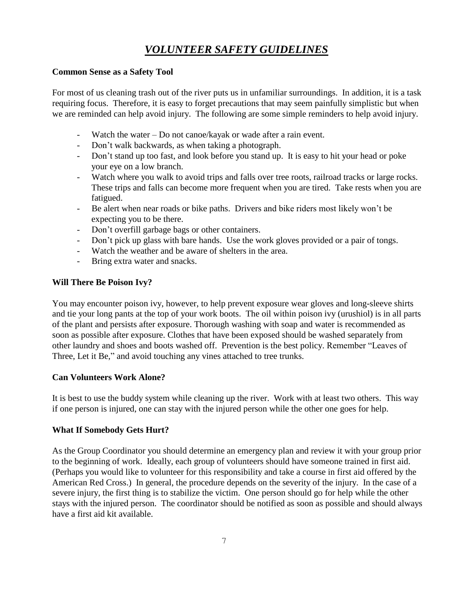## *VOLUNTEER SAFETY GUIDELINES*

#### **Common Sense as a Safety Tool**

For most of us cleaning trash out of the river puts us in unfamiliar surroundings. In addition, it is a task requiring focus. Therefore, it is easy to forget precautions that may seem painfully simplistic but when we are reminded can help avoid injury. The following are some simple reminders to help avoid injury.

- Watch the water  $-$  Do not canoe/kayak or wade after a rain event.
- Don't walk backwards, as when taking a photograph.
- Don't stand up too fast, and look before you stand up. It is easy to hit your head or poke your eye on a low branch.
- Watch where you walk to avoid trips and falls over tree roots, railroad tracks or large rocks. These trips and falls can become more frequent when you are tired. Take rests when you are fatigued.
- Be alert when near roads or bike paths. Drivers and bike riders most likely won't be expecting you to be there.
- Don't overfill garbage bags or other containers.
- Don't pick up glass with bare hands. Use the work gloves provided or a pair of tongs.
- Watch the weather and be aware of shelters in the area.
- Bring extra water and snacks.

## **Will There Be Poison Ivy?**

You may encounter poison ivy, however, to help prevent exposure wear gloves and long-sleeve shirts and tie your long pants at the top of your work boots. The oil within poison ivy (urushiol) is in all parts of the plant and persists after exposure. Thorough washing with soap and water is recommended as soon as possible after exposure. Clothes that have been exposed should be washed separately from other laundry and shoes and boots washed off. Prevention is the best policy. Remember "Leaves of Three, Let it Be," and avoid touching any vines attached to tree trunks.

## **Can Volunteers Work Alone?**

It is best to use the buddy system while cleaning up the river. Work with at least two others. This way if one person is injured, one can stay with the injured person while the other one goes for help.

## **What If Somebody Gets Hurt?**

As the Group Coordinator you should determine an emergency plan and review it with your group prior to the beginning of work. Ideally, each group of volunteers should have someone trained in first aid. (Perhaps you would like to volunteer for this responsibility and take a course in first aid offered by the American Red Cross.) In general, the procedure depends on the severity of the injury. In the case of a severe injury, the first thing is to stabilize the victim. One person should go for help while the other stays with the injured person. The coordinator should be notified as soon as possible and should always have a first aid kit available.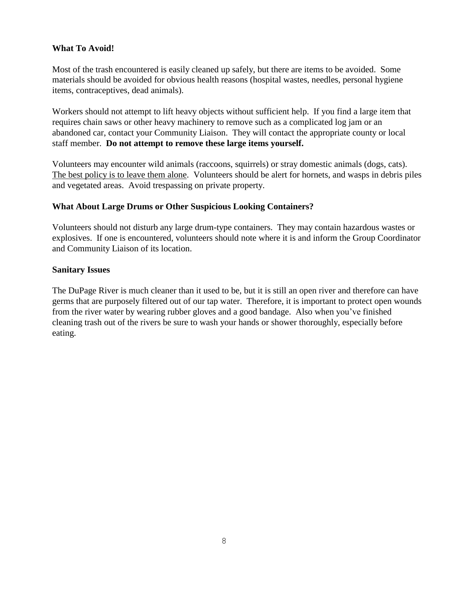#### **What To Avoid!**

Most of the trash encountered is easily cleaned up safely, but there are items to be avoided. Some materials should be avoided for obvious health reasons (hospital wastes, needles, personal hygiene items, contraceptives, dead animals).

Workers should not attempt to lift heavy objects without sufficient help. If you find a large item that requires chain saws or other heavy machinery to remove such as a complicated log jam or an abandoned car, contact your Community Liaison. They will contact the appropriate county or local staff member. **Do not attempt to remove these large items yourself.**

Volunteers may encounter wild animals (raccoons, squirrels) or stray domestic animals (dogs, cats). The best policy is to leave them alone. Volunteers should be alert for hornets, and wasps in debris piles and vegetated areas. Avoid trespassing on private property.

#### **What About Large Drums or Other Suspicious Looking Containers?**

Volunteers should not disturb any large drum-type containers. They may contain hazardous wastes or explosives. If one is encountered, volunteers should note where it is and inform the Group Coordinator and Community Liaison of its location.

#### **Sanitary Issues**

The DuPage River is much cleaner than it used to be, but it is still an open river and therefore can have germs that are purposely filtered out of our tap water. Therefore, it is important to protect open wounds from the river water by wearing rubber gloves and a good bandage. Also when you've finished cleaning trash out of the rivers be sure to wash your hands or shower thoroughly, especially before eating.